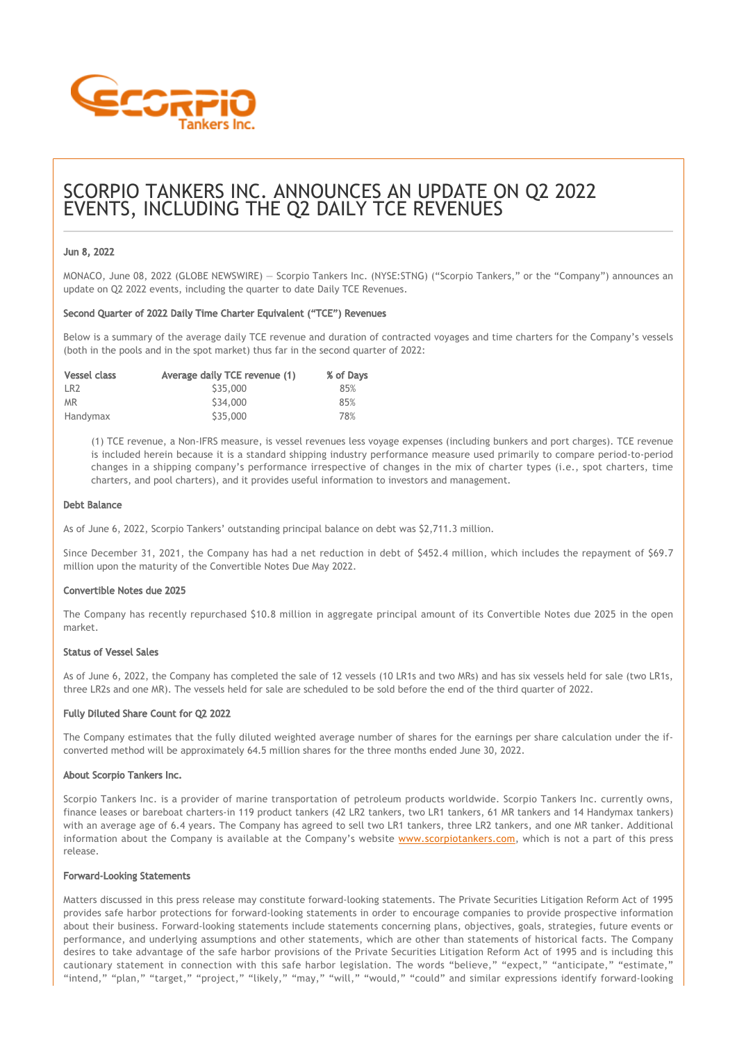

# SCORPIO TANKERS INC. ANNOUNCES AN UPDATE ON Q2 2022 EVENTS, INCLUDING THE Q2 DAILY TCE REVENUES

# Jun 8, 2022

MONACO, June 08, 2022 (GLOBE NEWSWIRE) — Scorpio Tankers Inc. (NYSE:STNG) ("Scorpio Tankers," or the "Company") announces an update on Q2 2022 events, including the quarter to date Daily TCE Revenues.

### Second Quarter of 2022 Daily Time Charter Equivalent ("TCE") Revenues

Below is a summary of the average daily TCE revenue and duration of contracted voyages and time charters for the Company's vessels (both in the pools and in the spot market) thus far in the second quarter of 2022:

| <b>Vessel class</b> | Average daily TCE revenue (1) | % of Days |
|---------------------|-------------------------------|-----------|
| LR <sub>2</sub>     | S35,000                       | 85%       |
| <b>MR</b>           | \$34,000                      | 85%       |
| Handymax            | \$35,000                      | 78%       |

(1) TCE revenue, a Non-IFRS measure, is vessel revenues less voyage expenses (including bunkers and port charges). TCE revenue is included herein because it is a standard shipping industry performance measure used primarily to compare period-to-period changes in a shipping company's performance irrespective of changes in the mix of charter types (i.e., spot charters, time charters, and pool charters), and it provides useful information to investors and management.

### Debt Balance

As of June 6, 2022, Scorpio Tankers' outstanding principal balance on debt was \$2,711.3 million.

Since December 31, 2021, the Company has had a net reduction in debt of \$452.4 million, which includes the repayment of \$69.7 million upon the maturity of the Convertible Notes Due May 2022.

# Convertible Notes due 2025

The Company has recently repurchased \$10.8 million in aggregate principal amount of its Convertible Notes due 2025 in the open market.

## Status of Vessel Sales

As of June 6, 2022, the Company has completed the sale of 12 vessels (10 LR1s and two MRs) and has six vessels held for sale (two LR1s, three LR2s and one MR). The vessels held for sale are scheduled to be sold before the end of the third quarter of 2022.

# Fully Diluted Share Count for Q2 2022

The Company estimates that the fully diluted weighted average number of shares for the earnings per share calculation under the ifconverted method will be approximately 64.5 million shares for the three months ended June 30, 2022.

# About Scorpio Tankers Inc.

Scorpio Tankers Inc. is a provider of marine transportation of petroleum products worldwide. Scorpio Tankers Inc. currently owns, finance leases or bareboat charters-in 119 product tankers (42 LR2 tankers, two LR1 tankers, 61 MR tankers and 14 Handymax tankers) with an average age of 6.4 years. The Company has agreed to sell two LR1 tankers, three LR2 tankers, and one MR tanker. Additional information about the Company is available at the Company's website [www.scorpiotankers.com](https://www.globenewswire.com/Tracker?data=h2sw2unsCqnlyK5cAYSKU2uxYH5KO-g6eOs6VKe_wGsg1WZraZqAGgpqBCPGatQMWyZv7gRg7hI8XCiqpFjh-6u6ZwTDZXxtdudgeZW1HeY=), which is not a part of this press release.

#### Forward-Looking Statements

Matters discussed in this press release may constitute forward‐looking statements. The Private Securities Litigation Reform Act of 1995 provides safe harbor protections for forward‐looking statements in order to encourage companies to provide prospective information about their business. Forward‐looking statements include statements concerning plans, objectives, goals, strategies, future events or performance, and underlying assumptions and other statements, which are other than statements of historical facts. The Company desires to take advantage of the safe harbor provisions of the Private Securities Litigation Reform Act of 1995 and is including this cautionary statement in connection with this safe harbor legislation. The words "believe," "expect," "anticipate," "estimate," "intend," "plan," "target," "project," "likely," "may," "will," "would," "could" and similar expressions identify forward‐looking